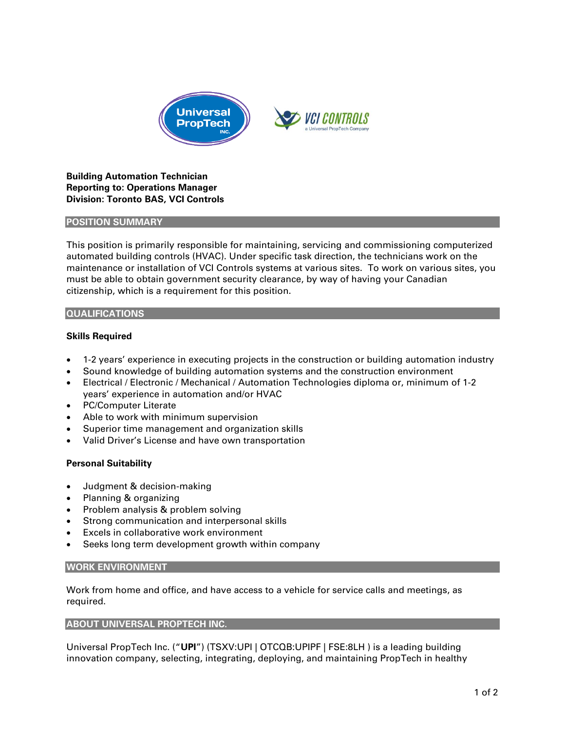

# **Building Automation Technician Reporting to: Operations Manager Division: Toronto BAS, VCI Controls**

#### **POSITION SUMMARY**

This position is primarily responsible for maintaining, servicing and commissioning computerized automated building controls (HVAC). Under specific task direction, the technicians work on the maintenance or installation of VCI Controls systems at various sites. To work on various sites, you must be able to obtain government security clearance, by way of having your Canadian citizenship, which is a requirement for this position.

## **QUALIFICATIONS**

## **Skills Required**

- 1-2 years' experience in executing projects in the construction or building automation industry
- Sound knowledge of building automation systems and the construction environment
- Electrical / Electronic / Mechanical / Automation Technologies diploma or, minimum of 1-2 years' experience in automation and/or HVAC
- PC/Computer Literate
- Able to work with minimum supervision
- Superior time management and organization skills
- Valid Driver's License and have own transportation

## **Personal Suitability**

- Judgment & decision-making
- Planning & organizing
- Problem analysis & problem solving
- Strong communication and interpersonal skills
- Excels in collaborative work environment
- Seeks long term development growth within company

## **WORK ENVIRONMENT**

Work from home and office, and have access to a vehicle for service calls and meetings, as required.

## **ABOUT UNIVERSAL PROPTECH INC.**

Universal PropTech Inc. ("**UPI**") (TSXV:UPI | OTCQB:UPIPF | FSE:8LH ) is a leading building innovation company, selecting, integrating, deploying, and maintaining PropTech in healthy